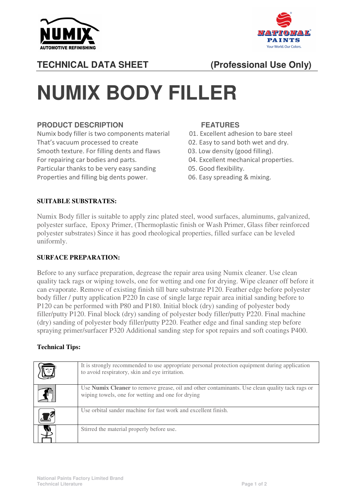



## **TECHNICAL DATA SHEET (Professional Use Only)**

# **NUMIX BODY FILLER**

## **PRODUCT DESCRIPTION FEATURES**

Numix body filler is two components material 01. Excellent adhesion to bare steel That's vacuum processed to create 02. Easy to sand both wet and dry. Smooth texture. For filling dents and flaws 03. Low density (good filling). For repairing car bodies and parts. 04. Excellent mechanical properties. Particular thanks to be very easy sanding 05. Good flexibility. Properties and filling big dents power. 06. Easy spreading & mixing.

- 
- 
- 
- 
- 
- 

### **SUITABLE SUBSTRATES:**

Numix Body filler is suitable to apply zinc plated steel, wood surfaces, aluminums, galvanized, polyester surface, Epoxy Primer, (Thermoplastic finish or Wash Primer, Glass fiber reinforced polyester substrates) Since it has good rheological properties, filled surface can be leveled uniformly.

#### **SURFACE PREPARATION:**

Before to any surface preparation, degrease the repair area using Numix cleaner. Use clean quality tack rags or wiping towels, one for wetting and one for drying. Wipe cleaner off before it can evaporate. Remove of existing finish till bare substrate P120. Feather edge before polyester body filler / putty application P220 In case of single large repair area initial sanding before to P120 can be performed with P80 and P180. Initial block (dry) sanding of polyester body filler/putty P120. Final block (dry) sanding of polyester body filler/putty P220. Final machine (dry) sanding of polyester body filler/putty P220. Feather edge and final sanding step before spraying primer/surfacer P320 Additional sanding step for spot repairs and soft coatings P400.

### **Technical Tips:**

| It is strongly recommended to use appropriate personal protection equipment during application<br>to avoid respiratory, skin and eye irritation.    |
|-----------------------------------------------------------------------------------------------------------------------------------------------------|
| Use Numix Cleaner to remove grease, oil and other contaminants. Use clean quality tack rags or<br>wiping towels, one for wetting and one for drying |
| Use orbital sander machine for fast work and excellent finish.                                                                                      |
| Stirred the material properly before use.                                                                                                           |